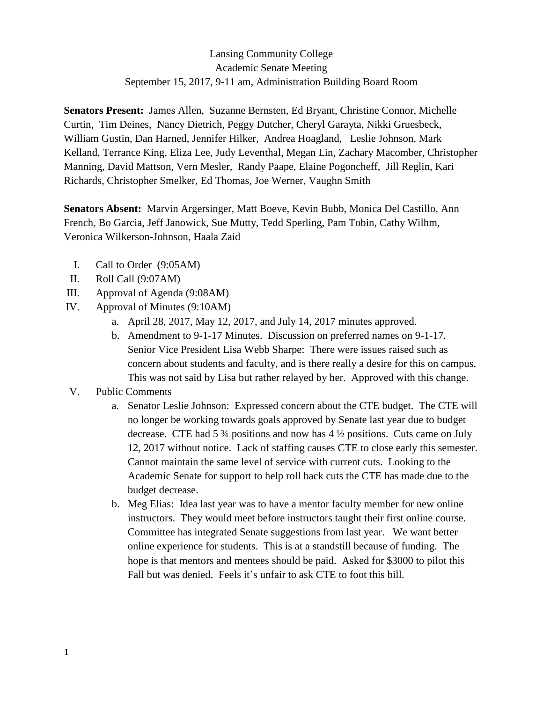## Lansing Community College Academic Senate Meeting September 15, 2017, 9-11 am, Administration Building Board Room

**Senators Present:** James Allen, Suzanne Bernsten, Ed Bryant, Christine Connor, Michelle Curtin, Tim Deines, Nancy Dietrich, Peggy Dutcher, Cheryl Garayta, Nikki Gruesbeck, William Gustin, Dan Harned, Jennifer Hilker, Andrea Hoagland, Leslie Johnson, Mark Kelland, Terrance King, Eliza Lee, Judy Leventhal, Megan Lin, Zachary Macomber, Christopher Manning, David Mattson, Vern Mesler, Randy Paape, Elaine Pogoncheff, Jill Reglin, Kari Richards, Christopher Smelker, Ed Thomas, Joe Werner, Vaughn Smith

**Senators Absent:** Marvin Argersinger, Matt Boeve, Kevin Bubb, Monica Del Castillo, Ann French, Bo Garcia, Jeff Janowick, Sue Mutty, Tedd Sperling, Pam Tobin, Cathy Wilhm, Veronica Wilkerson-Johnson, Haala Zaid

- I. Call to Order (9:05AM)
- II. Roll Call (9:07AM)
- III. Approval of Agenda (9:08AM)
- IV. Approval of Minutes (9:10AM)
	- a. April 28, 2017, May 12, 2017, and July 14, 2017 minutes approved.
	- b. Amendment to 9-1-17 Minutes. Discussion on preferred names on 9-1-17. Senior Vice President Lisa Webb Sharpe: There were issues raised such as concern about students and faculty, and is there really a desire for this on campus. This was not said by Lisa but rather relayed by her. Approved with this change.
- V. Public Comments
	- a. Senator Leslie Johnson: Expressed concern about the CTE budget. The CTE will no longer be working towards goals approved by Senate last year due to budget decrease. CTE had  $5\frac{3}{4}$  positions and now has  $4\frac{1}{2}$  positions. Cuts came on July 12, 2017 without notice. Lack of staffing causes CTE to close early this semester. Cannot maintain the same level of service with current cuts. Looking to the Academic Senate for support to help roll back cuts the CTE has made due to the budget decrease.
	- b. Meg Elias: Idea last year was to have a mentor faculty member for new online instructors. They would meet before instructors taught their first online course. Committee has integrated Senate suggestions from last year. We want better online experience for students. This is at a standstill because of funding. The hope is that mentors and mentees should be paid. Asked for \$3000 to pilot this Fall but was denied. Feels it's unfair to ask CTE to foot this bill.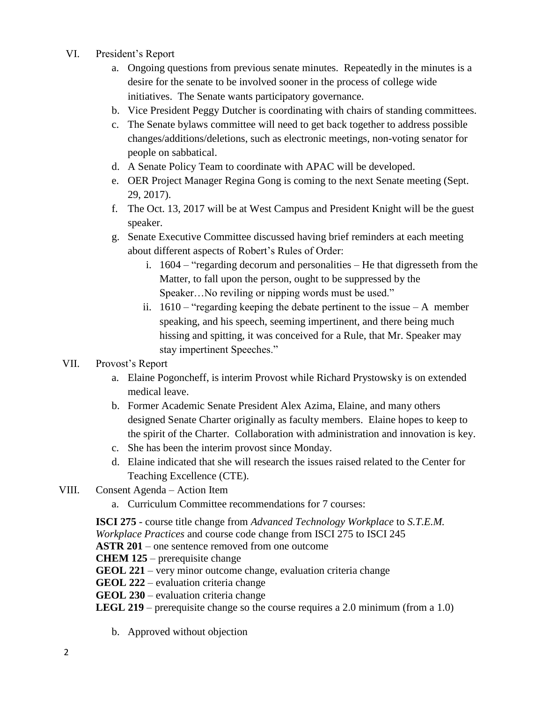- VI. President's Report
	- a. Ongoing questions from previous senate minutes. Repeatedly in the minutes is a desire for the senate to be involved sooner in the process of college wide initiatives. The Senate wants participatory governance.
	- b. Vice President Peggy Dutcher is coordinating with chairs of standing committees.
	- c. The Senate bylaws committee will need to get back together to address possible changes/additions/deletions, such as electronic meetings, non-voting senator for people on sabbatical.
	- d. A Senate Policy Team to coordinate with APAC will be developed.
	- e. OER Project Manager Regina Gong is coming to the next Senate meeting (Sept. 29, 2017).
	- f. The Oct. 13, 2017 will be at West Campus and President Knight will be the guest speaker.
	- g. Senate Executive Committee discussed having brief reminders at each meeting about different aspects of Robert's Rules of Order:
		- i. 1604 "regarding decorum and personalities He that digresseth from the Matter, to fall upon the person, ought to be suppressed by the Speaker…No reviling or nipping words must be used."
		- ii.  $1610 -$  "regarding keeping the debate pertinent to the issue  $-A$  member speaking, and his speech, seeming impertinent, and there being much hissing and spitting, it was conceived for a Rule, that Mr. Speaker may stay impertinent Speeches."

## VII. Provost's Report

- a. Elaine Pogoncheff, is interim Provost while Richard Prystowsky is on extended medical leave.
- b. Former Academic Senate President Alex Azima, Elaine, and many others designed Senate Charter originally as faculty members. Elaine hopes to keep to the spirit of the Charter. Collaboration with administration and innovation is key.
- c. She has been the interim provost since Monday.
- d. Elaine indicated that she will research the issues raised related to the Center for Teaching Excellence (CTE).
- VIII. Consent Agenda Action Item
	- a. Curriculum Committee recommendations for 7 courses:

**ISCI 275** - course title change from *Advanced Technology Workplace* to *S.T.E.M. Workplace Practices* and course code change from ISCI 275 to ISCI 245

**ASTR 201** – one sentence removed from one outcome

**CHEM 125** – prerequisite change

- **GEOL 221** very minor outcome change, evaluation criteria change
- **GEOL 222** evaluation criteria change
- **GEOL 230** evaluation criteria change
- **LEGL 219** prerequisite change so the course requires a 2.0 minimum (from a 1.0)
	- b. Approved without objection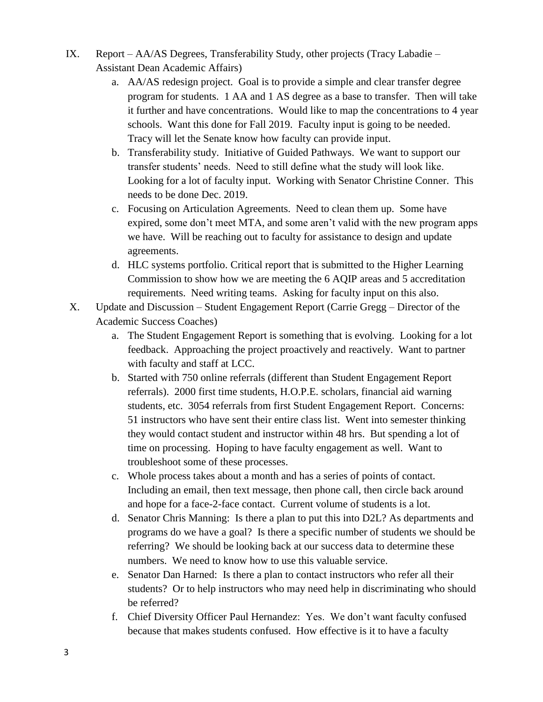- IX. Report AA/AS Degrees, Transferability Study, other projects (Tracy Labadie Assistant Dean Academic Affairs)
	- a. AA/AS redesign project. Goal is to provide a simple and clear transfer degree program for students. 1 AA and 1 AS degree as a base to transfer. Then will take it further and have concentrations. Would like to map the concentrations to 4 year schools. Want this done for Fall 2019. Faculty input is going to be needed. Tracy will let the Senate know how faculty can provide input.
	- b. Transferability study. Initiative of Guided Pathways. We want to support our transfer students' needs. Need to still define what the study will look like. Looking for a lot of faculty input. Working with Senator Christine Conner. This needs to be done Dec. 2019.
	- c. Focusing on Articulation Agreements. Need to clean them up. Some have expired, some don't meet MTA, and some aren't valid with the new program apps we have. Will be reaching out to faculty for assistance to design and update agreements.
	- d. HLC systems portfolio. Critical report that is submitted to the Higher Learning Commission to show how we are meeting the 6 AQIP areas and 5 accreditation requirements. Need writing teams. Asking for faculty input on this also.
- X. Update and Discussion Student Engagement Report (Carrie Gregg Director of the Academic Success Coaches)
	- a. The Student Engagement Report is something that is evolving. Looking for a lot feedback. Approaching the project proactively and reactively. Want to partner with faculty and staff at LCC.
	- b. Started with 750 online referrals (different than Student Engagement Report referrals). 2000 first time students, H.O.P.E. scholars, financial aid warning students, etc. 3054 referrals from first Student Engagement Report. Concerns: 51 instructors who have sent their entire class list. Went into semester thinking they would contact student and instructor within 48 hrs. But spending a lot of time on processing. Hoping to have faculty engagement as well. Want to troubleshoot some of these processes.
	- c. Whole process takes about a month and has a series of points of contact. Including an email, then text message, then phone call, then circle back around and hope for a face-2-face contact. Current volume of students is a lot.
	- d. Senator Chris Manning: Is there a plan to put this into D2L? As departments and programs do we have a goal? Is there a specific number of students we should be referring? We should be looking back at our success data to determine these numbers. We need to know how to use this valuable service.
	- e. Senator Dan Harned: Is there a plan to contact instructors who refer all their students? Or to help instructors who may need help in discriminating who should be referred?
	- f. Chief Diversity Officer Paul Hernandez: Yes. We don't want faculty confused because that makes students confused. How effective is it to have a faculty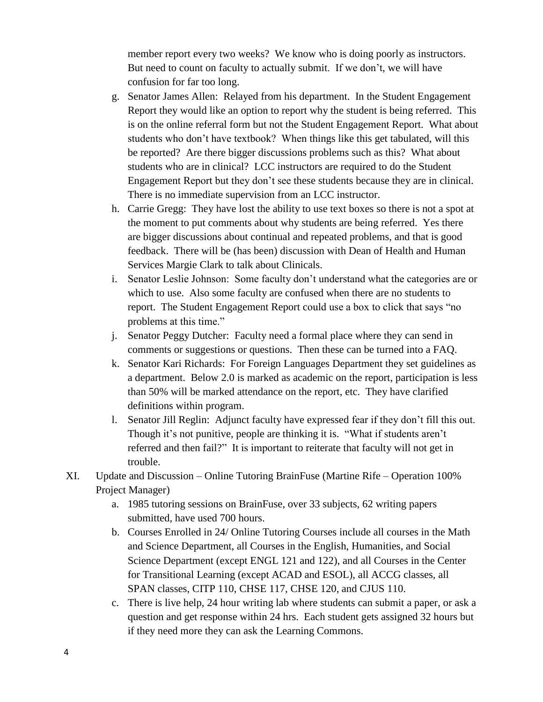member report every two weeks? We know who is doing poorly as instructors. But need to count on faculty to actually submit. If we don't, we will have confusion for far too long.

- g. Senator James Allen: Relayed from his department. In the Student Engagement Report they would like an option to report why the student is being referred. This is on the online referral form but not the Student Engagement Report. What about students who don't have textbook? When things like this get tabulated, will this be reported? Are there bigger discussions problems such as this? What about students who are in clinical? LCC instructors are required to do the Student Engagement Report but they don't see these students because they are in clinical. There is no immediate supervision from an LCC instructor.
- h. Carrie Gregg: They have lost the ability to use text boxes so there is not a spot at the moment to put comments about why students are being referred. Yes there are bigger discussions about continual and repeated problems, and that is good feedback. There will be (has been) discussion with Dean of Health and Human Services Margie Clark to talk about Clinicals.
- i. Senator Leslie Johnson: Some faculty don't understand what the categories are or which to use. Also some faculty are confused when there are no students to report. The Student Engagement Report could use a box to click that says "no problems at this time."
- j. Senator Peggy Dutcher: Faculty need a formal place where they can send in comments or suggestions or questions. Then these can be turned into a FAQ.
- k. Senator Kari Richards: For Foreign Languages Department they set guidelines as a department. Below 2.0 is marked as academic on the report, participation is less than 50% will be marked attendance on the report, etc. They have clarified definitions within program.
- l. Senator Jill Reglin: Adjunct faculty have expressed fear if they don't fill this out. Though it's not punitive, people are thinking it is. "What if students aren't referred and then fail?" It is important to reiterate that faculty will not get in trouble.
- XI. Update and Discussion Online Tutoring BrainFuse (Martine Rife Operation 100% Project Manager)
	- a. 1985 tutoring sessions on BrainFuse, over 33 subjects, 62 writing papers submitted, have used 700 hours.
	- b. Courses Enrolled in 24/ Online Tutoring Courses include all courses in the Math and Science Department, all Courses in the English, Humanities, and Social Science Department (except ENGL 121 and 122), and all Courses in the Center for Transitional Learning (except ACAD and ESOL), all ACCG classes, all SPAN classes, CITP 110, CHSE 117, CHSE 120, and CJUS 110.
	- c. There is live help, 24 hour writing lab where students can submit a paper, or ask a question and get response within 24 hrs. Each student gets assigned 32 hours but if they need more they can ask the Learning Commons.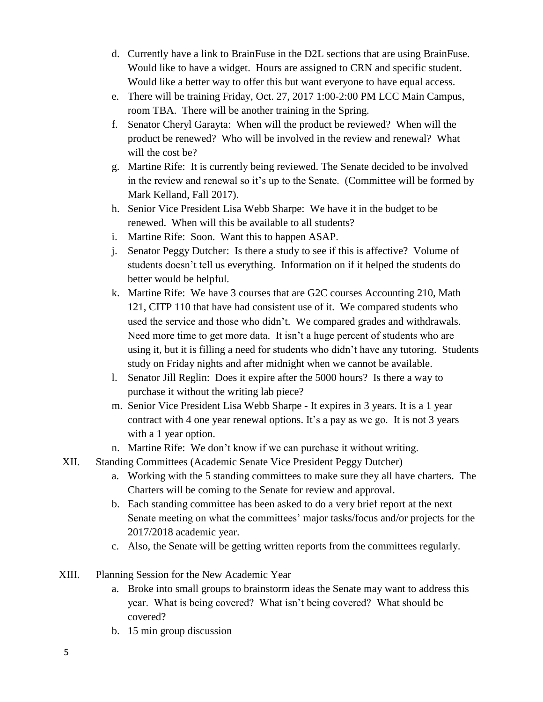- d. Currently have a link to BrainFuse in the D2L sections that are using BrainFuse. Would like to have a widget. Hours are assigned to CRN and specific student. Would like a better way to offer this but want everyone to have equal access.
- e. There will be training Friday, Oct. 27, 2017 1:00-2:00 PM LCC Main Campus, room TBA. There will be another training in the Spring.
- f. Senator Cheryl Garayta: When will the product be reviewed? When will the product be renewed? Who will be involved in the review and renewal? What will the cost be?
- g. Martine Rife: It is currently being reviewed. The Senate decided to be involved in the review and renewal so it's up to the Senate. (Committee will be formed by Mark Kelland, Fall 2017).
- h. Senior Vice President Lisa Webb Sharpe: We have it in the budget to be renewed. When will this be available to all students?
- i. Martine Rife: Soon. Want this to happen ASAP.
- j. Senator Peggy Dutcher: Is there a study to see if this is affective? Volume of students doesn't tell us everything. Information on if it helped the students do better would be helpful.
- k. Martine Rife: We have 3 courses that are G2C courses Accounting 210, Math 121, CITP 110 that have had consistent use of it. We compared students who used the service and those who didn't. We compared grades and withdrawals. Need more time to get more data. It isn't a huge percent of students who are using it, but it is filling a need for students who didn't have any tutoring. Students study on Friday nights and after midnight when we cannot be available.
- l. Senator Jill Reglin: Does it expire after the 5000 hours? Is there a way to purchase it without the writing lab piece?
- m. Senior Vice President Lisa Webb Sharpe It expires in 3 years. It is a 1 year contract with 4 one year renewal options. It's a pay as we go. It is not 3 years with a 1 year option.
- n. Martine Rife: We don't know if we can purchase it without writing.
- XII. Standing Committees (Academic Senate Vice President Peggy Dutcher)
	- a. Working with the 5 standing committees to make sure they all have charters. The Charters will be coming to the Senate for review and approval.
	- b. Each standing committee has been asked to do a very brief report at the next Senate meeting on what the committees' major tasks/focus and/or projects for the 2017/2018 academic year.
	- c. Also, the Senate will be getting written reports from the committees regularly.
- XIII. Planning Session for the New Academic Year
	- a. Broke into small groups to brainstorm ideas the Senate may want to address this year. What is being covered? What isn't being covered? What should be covered?
	- b. 15 min group discussion